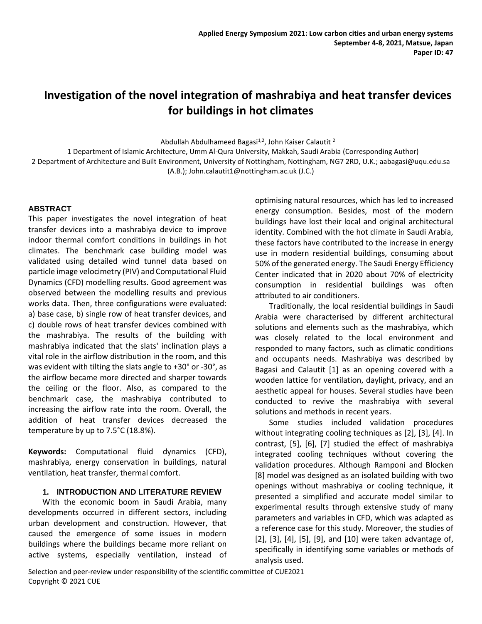# **Investigation of the novel integration of mashrabiya and heat transfer devices for buildings in hot climates**

Abdullah Abdulhameed Bagasi<sup>1,2</sup>, John Kaiser Calautit <sup>2</sup>

1 Department of Islamic Architecture, Umm Al-Qura University, Makkah, Saudi Arabia (Corresponding Author) 2 Department of Architecture and Built Environment, University of Nottingham, Nottingham, NG7 2RD, U.K.; aabagasi@uqu.edu.sa (A.B.); John.calautit1@nottingham.ac.uk (J.C.)

# **ABSTRACT**

This paper investigates the novel integration of heat transfer devices into a mashrabiya device to improve indoor thermal comfort conditions in buildings in hot climates. The benchmark case building model was validated using detailed wind tunnel data based on particle image velocimetry (PIV) and Computational Fluid Dynamics (CFD) modelling results. Good agreement was observed between the modelling results and previous works data. Then, three configurations were evaluated: a) base case, b) single row of heat transfer devices, and c) double rows of heat transfer devices combined with the mashrabiya. The results of the building with mashrabiya indicated that the slats' inclination plays a vital role in the airflow distribution in the room, and this was evident with tilting the slats angle to +30° or -30°, as the airflow became more directed and sharper towards the ceiling or the floor. Also, as compared to the benchmark case, the mashrabiya contributed to increasing the airflow rate into the room. Overall, the addition of heat transfer devices decreased the temperature by up to 7.5°C (18.8%).

**Keywords:** Computational fluid dynamics (CFD), mashrabiya, energy conservation in buildings, natural ventilation, heat transfer, thermal comfort.

## **1. INTRODUCTION AND LITERATURE REVIEW**

With the economic boom in Saudi Arabia, many developments occurred in different sectors, including urban development and construction. However, that caused the emergence of some issues in modern buildings where the buildings became more reliant on active systems, especially ventilation, instead of optimising natural resources, which has led to increased energy consumption. Besides, most of the modern buildings have lost their local and original architectural identity. Combined with the hot climate in Saudi Arabia, these factors have contributed to the increase in energy use in modern residential buildings, consuming about 50% of the generated energy. The Saudi Energy Efficiency Center indicated that in 2020 about 70% of electricity consumption in residential buildings was often attributed to air conditioners.

Traditionally, the local residential buildings in Saudi Arabia were characterised by different architectural solutions and elements such as the mashrabiya, which was closely related to the local environment and responded to many factors, such as climatic conditions and occupants needs. Mashrabiya was described by Bagasi and Calautit [1] as an opening covered with a wooden lattice for ventilation, daylight, privacy, and an aesthetic appeal for houses. Several studies have been conducted to revive the mashrabiya with several solutions and methods in recent years.

Some studies included validation procedures without integrating cooling techniques as [2], [3], [4]. In contrast, [5], [6], [7] studied the effect of mashrabiya integrated cooling techniques without covering the validation procedures. Although Ramponi and Blocken [8] model was designed as an isolated building with two openings without mashrabiya or cooling technique, it presented a simplified and accurate model similar to experimental results through extensive study of many parameters and variables in CFD, which was adapted as a reference case for this study. Moreover, the studies of [2], [3], [4], [5], [9], and [10] were taken advantage of, specifically in identifying some variables or methods of analysis used.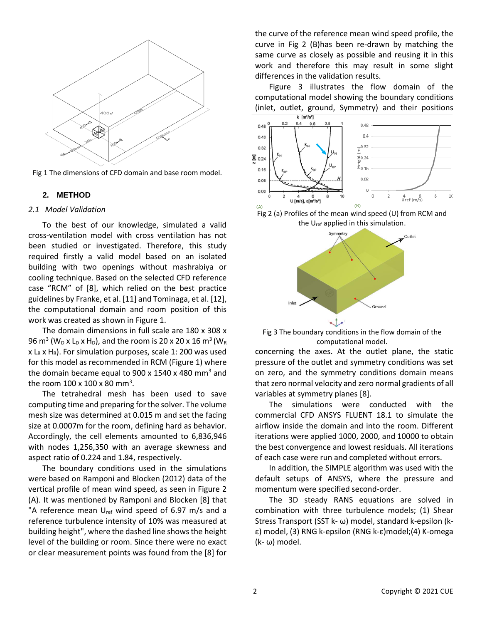

Fig 1 The dimensions of CFD domain and base room model.

## **2. METHOD**

#### *2.1 Model Validation*

To the best of our knowledge, simulated a valid cross-ventilation model with cross ventilation has not been studied or investigated. Therefore, this study required firstly a valid model based on an isolated building with two openings without mashrabiya or cooling technique. Based on the selected CFD reference case "RCM" of [8], which relied on the best practice guidelines by Franke, et al. [11] and Tominaga, et al. [12], the computational domain and room position of this work was created as shown in Figure 1.

The domain dimensions in full scale are 180 x 308 x 96 m $^3$  (W<sub>D</sub> x L<sub>D</sub> x H<sub>D</sub>), and the room is 20 x 20 x 16 m $^3$  (W<sub>R</sub>  $x$  L<sub>R</sub> x H<sub>R</sub>). For simulation purposes, scale 1: 200 was used for this model as recommended in RCM (Figure 1) where the domain became equal to 900 x 1540 x 480 mm<sup>3</sup> and the room  $100 \times 100 \times 80$  mm<sup>3</sup>.

The tetrahedral mesh has been used to save computing time and preparing for the solver. The volume mesh size was determined at 0.015 m and set the facing size at 0.0007m for the room, defining hard as behavior. Accordingly, the cell elements amounted to 6,836,946 with nodes 1,256,350 with an average skewness and aspect ratio of 0.224 and 1.84, respectively.

The boundary conditions used in the simulations were based on Ramponi and Blocken (2012) data of the vertical profile of mean wind speed, as seen in Figure 2 (A). It was mentioned by Ramponi and Blocken [8] that "A reference mean  $U_{ref}$  wind speed of 6.97 m/s and a reference turbulence intensity of 10% was measured at building height", where the dashed line shows the height level of the building or room. Since there were no exact or clear measurement points was found from the [8] for

the curve of the reference mean wind speed profile, the curve in Fig 2 (B)has been re-drawn by matching the same curve as closely as possible and reusing it in this work and therefore this may result in some slight differences in the validation results.

Figure 3 illustrates the flow domain of the computational model showing the boundary conditions (inlet, outlet, ground, Symmetry) and their positions



Fig 2 (a) Profiles of the mean wind speed (U) from RCM and the Uref applied in this simulation.



Fig 3 The boundary conditions in the flow domain of the computational model.

concerning the axes. At the outlet plane, the static pressure of the outlet and symmetry conditions was set on zero, and the symmetry conditions domain means that zero normal velocity and zero normal gradients of all variables at symmetry planes [8].

The simulations were conducted with the commercial CFD ANSYS FLUENT 18.1 to simulate the airflow inside the domain and into the room. Different iterations were applied 1000, 2000, and 10000 to obtain the best convergence and lowest residuals. All iterations of each case were run and completed without errors.

In addition, the SIMPLE algorithm was used with the default setups of ANSYS, where the pressure and momentum were specified second-order.

The 3D steady RANS equations are solved in combination with three turbulence models; (1) Shear Stress Transport (SST k- ω) model, standard k-epsilon (kε) model, (3) RNG k-epsilon (RNG k-ε)model;(4) K-omega (k- ω) model.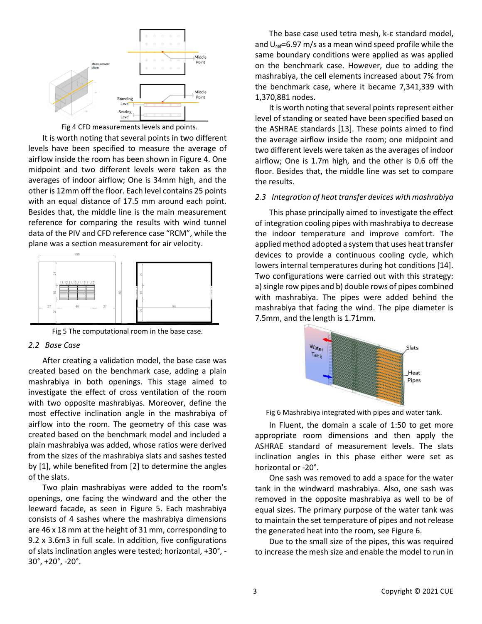

Fig 4 CFD measurements levels and points.

It is worth noting that several points in two different levels have been specified to measure the average of airflow inside the room has been shown in Figure 4. One midpoint and two different levels were taken as the averages of indoor airflow; One is 34mm high, and the other is 12mm off the floor. Each level contains 25 points with an equal distance of 17.5 mm around each point. Besides that, the middle line is the main measurement reference for comparing the results with wind tunnel data of the PIV and CFD reference case "RCM", while the plane was a section measurement for air velocity.



Fig 5 The computational room in the base case.

#### *2.2 Base Case*

After creating a validation model, the base case was created based on the benchmark case, adding a plain mashrabiya in both openings. This stage aimed to investigate the effect of cross ventilation of the room with two opposite mashrabiyas. Moreover, define the most effective inclination angle in the mashrabiya of airflow into the room. The geometry of this case was created based on the benchmark model and included a plain mashrabiya was added, whose ratios were derived from the sizes of the mashrabiya slats and sashes tested by [1], while benefited from [2] to determine the angles of the slats.

Two plain mashrabiyas were added to the room's openings, one facing the windward and the other the leeward facade, as seen in Figure 5. Each mashrabiya consists of 4 sashes where the mashrabiya dimensions are 46 x 18 mm at the height of 31 mm, corresponding to 9.2 x 3.6m3 in full scale. In addition, five configurations of slats inclination angles were tested; horizontal, +30°, - 30°, +20°, -20°.

The base case used tetra mesh, k-ε standard model, and  $U_{ref}=6.97$  m/s as a mean wind speed profile while the same boundary conditions were applied as was applied on the benchmark case. However, due to adding the mashrabiya, the cell elements increased about 7% from the benchmark case, where it became 7,341,339 with 1,370,881 nodes.

It is worth noting that several points represent either level of standing or seated have been specified based on the ASHRAE standards [13]. These points aimed to find the average airflow inside the room; one midpoint and two different levels were taken as the averages of indoor airflow; One is 1.7m high, and the other is 0.6 off the floor. Besides that, the middle line was set to compare the results.

### *2.3 Integration of heat transfer devices with mashrabiya*

This phase principally aimed to investigate the effect of integration cooling pipes with mashrabiya to decrease the indoor temperature and improve comfort. The applied method adopted a system that uses heat transfer devices to provide a continuous cooling cycle, which lowers internal temperatures during hot conditions [14]. Two configurations were carried out with this strategy: a) single row pipes and b) double rows of pipes combined with mashrabiya. The pipes were added behind the mashrabiya that facing the wind. The pipe diameter is 7.5mm, and the length is 1.71mm.



Fig 6 Mashrabiya integrated with pipes and water tank.

In Fluent, the domain a scale of 1:50 to get more appropriate room dimensions and then apply the ASHRAE standard of measurement levels. The slats inclination angles in this phase either were set as horizontal or -20°.

One sash was removed to add a space for the water tank in the windward mashrabiya. Also, one sash was removed in the opposite mashrabiya as well to be of equal sizes. The primary purpose of the water tank was to maintain the set temperature of pipes and not release the generated heat into the room, see Figure 6.

Due to the small size of the pipes, this was required to increase the mesh size and enable the model to run in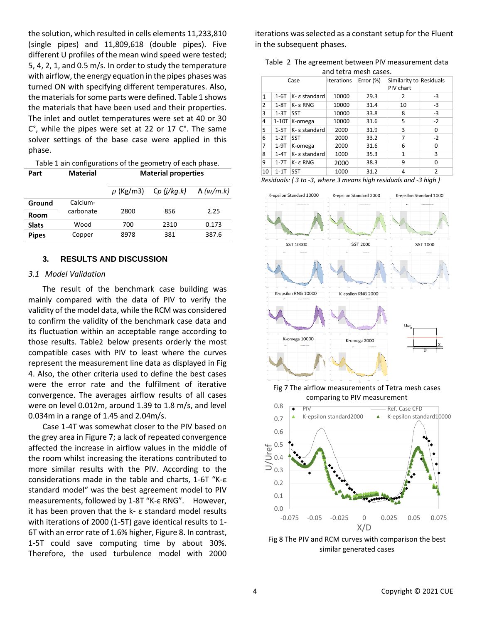the solution, which resulted in cells elements 11,233,810 (single pipes) and 11,809,618 (double pipes). Five different U profiles of the mean wind speed were tested; 5, 4, 2, 1, and 0.5 m/s. In order to study the temperature with airflow, the energy equation in the pipes phases was turned ON with specifying different temperatures. Also, the materials for some parts were defined. Table 1 shows the materials that have been used and their properties. The inlet and outlet temperatures were set at 40 or 30 C°, while the pipes were set at 22 or 17 C°. The same solver settings of the base case were applied in this phase.

| <b>Material</b> |                | <b>Material properties</b> |                    |  |
|-----------------|----------------|----------------------------|--------------------|--|
|                 | $\rho$ (Kg/m3) |                            | $\Lambda$ (w/m.k)  |  |
| Calcium-        |                |                            |                    |  |
|                 | 2800           |                            | 2.25               |  |
| Wood            | 700            | 2310                       | 0.173              |  |
| Copper          | 8978           | 381                        | 387.6              |  |
|                 | carbonate      |                            | Cp (j/kg.k)<br>856 |  |

Table 1 ain configurations of the geometry of each phase.

#### **3. RESULTS AND DISCUSSION**

#### *3.1 Model Validation*

The result of the benchmark case building was mainly compared with the data of PIV to verify the validity of the model data, while the RCM was considered to confirm the validity of the benchmark case data and its fluctuation within an acceptable range according to those results. Table2 below presents orderly the most compatible cases with PIV to least where the curves represent the measurement line data as displayed in Fig 4. Also, the other criteria used to define the best cases were the error rate and the fulfilment of iterative convergence. The averages airflow results of all cases were on level 0.012m, around 1.39 to 1.8 m/s, and level 0.034m in a range of 1.45 and 2.04m/s.

Case 1-4T was somewhat closer to the PIV based on the grey area in Figure 7; a lack of repeated convergence affected the increase in airflow values in the middle of the room whilst increasing the iterations contributed to more similar results with the PIV. According to the considerations made in the table and charts, 1-6T "K-ε standard model" was the best agreement model to PIV measurements, followed by 1-8T "K-ε RNG". However, it has been proven that the k- ε standard model results with iterations of 2000 (1-5T) gave identical results to 1- 6T with an error rate of 1.6% higher, Figure 8. In contrast, 1-5T could save computing time by about 30%. Therefore, the used turbulence model with 2000 iterations was selected as a constant setup for the Fluent in the subsequent phases.

Table 2 The agreement between PIV measurement data and tetra mesh cases.

| Case |         | <b>Iterations</b>          | Error $(\%)$ | Similarity to Residuals<br>PIV chart |              |                |
|------|---------|----------------------------|--------------|--------------------------------------|--------------|----------------|
| 1    | $1-6T$  | $K - \varepsilon$ standard | 10000        | 29.3                                 | 2            | -3             |
| 2    | $1-8T$  | $K - \varepsilon$ RNG      | 10000        | 31.4                                 | 10           | $-3$           |
| 3    | $1-3T$  | <b>SST</b>                 | 10000        | 33.8                                 | 8            | $-3$           |
| 4    | $1-10T$ | K-omega                    | 10000        | 31.6                                 | 5            | $-2$           |
| 5    | $1-5T$  | $K - \varepsilon$ standard | 2000         | 31.9                                 | 3            | 0              |
| 6    | $1-2T$  | <b>SST</b>                 | 2000         | 33.2                                 | 7            | $-2$           |
| 7    | $1-9T$  | K-omega                    | 2000         | 31.6                                 | 6            | 0              |
| 8    | $1-4T$  | $K - \varepsilon$ standard | 1000         | 35.3                                 | $\mathbf{1}$ | 3              |
| 9    | $1-7T$  | $K - \varepsilon$ RNG      | 2000         | 38.3                                 | 9            | 0              |
| 10   | $1-1$ T | <b>SST</b>                 | 1000         | 31.2                                 | 4            | $\overline{2}$ |

*Residuals: ( 3 to -3, where 3 means high residuals and -3 high )*



Fig 7 The airflow measurements of Tetra mesh cases comparing to PIV measurement



Fig 8 The PIV and RCM curves with comparison the best similar generated cases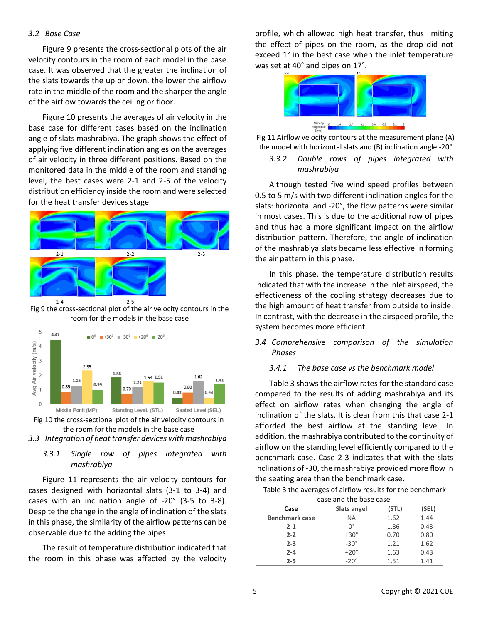#### *3.2 Base Case*

Figure 9 presents the cross-sectional plots of the air velocity contours in the room of each model in the base case. It was observed that the greater the inclination of the slats towards the up or down, the lower the airflow rate in the middle of the room and the sharper the angle of the airflow towards the ceiling or floor.

Figure 10 presents the averages of air velocity in the base case for different cases based on the inclination angle of slats mashrabiya. The graph shows the effect of applying five different inclination angles on the averages of air velocity in three different positions. Based on the monitored data in the middle of the room and standing level, the best cases were 2-1 and 2-5 of the velocity distribution efficiency inside the room and were selected for the heat transfer devices stage.



Fig 9 the cross-sectional plot of the air velocity contours in the room for the models in the base case





*3.3 Integration of heat transfer devices with mashrabiya*

## *3.3.1 Single row of pipes integrated with mashrabiya*

Figure 11 represents the air velocity contours for cases designed with horizontal slats (3-1 to 3-4) and cases with an inclination angle of -20° (3-5 to 3-8). Despite the change in the angle of inclination of the slats in this phase, the similarity of the airflow patterns can be observable due to the adding the pipes.

The result of temperature distribution indicated that the room in this phase was affected by the velocity profile, which allowed high heat transfer, thus limiting the effect of pipes on the room, as the drop did not exceed 1° in the best case when the inlet temperature was set at 40° and pipes on 17°.



Fig 11 Airflow velocity contours at the measurement plane (A) the model with horizontal slats and (B) inclination angle -20°

## *3.3.2 Double rows of pipes integrated with mashrabiya*

Although tested five wind speed profiles between 0.5 to 5 m/s with two different inclination angles for the slats: horizontal and -20°, the flow patterns were similar in most cases. This is due to the additional row of pipes and thus had a more significant impact on the airflow distribution pattern. Therefore, the angle of inclination of the mashrabiya slats became less effective in forming the air pattern in this phase.

In this phase, the temperature distribution results indicated that with the increase in the inlet airspeed, the effectiveness of the cooling strategy decreases due to the high amount of heat transfer from outside to inside. In contrast, with the decrease in the airspeed profile, the system becomes more efficient.

# *3.4 Comprehensive comparison of the simulation Phases*

#### *3.4.1 The base case vs the benchmark model*

Table 3 shows the airflow rates for the standard case compared to the results of adding mashrabiya and its effect on airflow rates when changing the angle of inclination of the slats. It is clear from this that case 2-1 afforded the best airflow at the standing level. In addition, the mashrabiya contributed to the continuity of airflow on the standing level efficiently compared to the benchmark case. Case 2-3 indicates that with the slats inclinations of -30, the mashrabiya provided more flow in the seating area than the benchmark case.

Table 3 the averages of airflow results for the benchmark case and the base case.

| Case                  | Slats angel | (STL) | (SEL) |  |
|-----------------------|-------------|-------|-------|--|
| <b>Benchmark case</b> | ΝA          | 1.62  | 1.44  |  |
| $2 - 1$               | $0^{\circ}$ | 1.86  | 0.43  |  |
| $2 - 2$               | $+30^\circ$ | 0.70  | 0.80  |  |
| $2 - 3$               | $-30^\circ$ | 1.21  | 1.62  |  |
| $2 - 4$               | $+20^\circ$ | 1.63  | 0.43  |  |
| $2 - 5$               | $-20^\circ$ | 1.51  | 1.41  |  |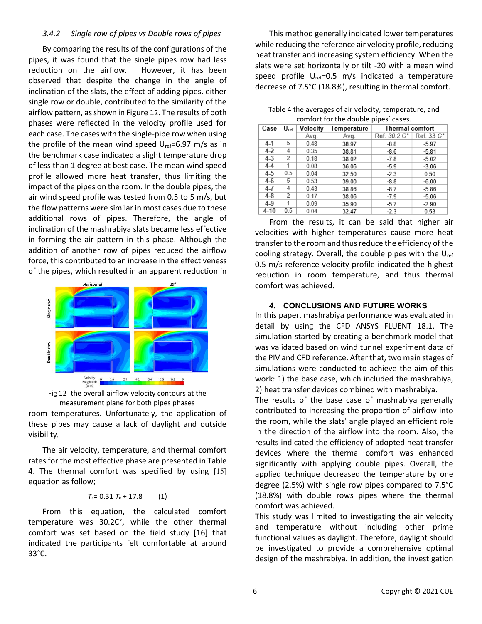## *3.4.2 Single row of pipes vs Double rows of pipes*

By comparing the results of the configurations of the pipes, it was found that the single pipes row had less reduction on the airflow. However, it has been observed that despite the change in the angle of inclination of the slats, the effect of adding pipes, either single row or double, contributed to the similarity of the airflow pattern, as shown in Figure 12. The results of both phases were reflected in the velocity profile used for each case. The cases with the single-pipe row when using the profile of the mean wind speed  $U_{ref}=6.97$  m/s as in the benchmark case indicated a slight temperature drop of less than 1 degree at best case. The mean wind speed profile allowed more heat transfer, thus limiting the impact of the pipes on the room. In the double pipes, the air wind speed profile was tested from 0.5 to 5 m/s, but the flow patterns were similar in most cases due to these additional rows of pipes. Therefore, the angle of inclination of the mashrabiya slats became less effective in forming the air pattern in this phase. Although the addition of another row of pipes reduced the airflow force, this contributed to an increase in the effectiveness of the pipes, which resulted in an apparent reduction in



Fig 12 the overall airflow velocity contours at the measurement plane for both pipes phases

room temperatures. Unfortunately, the application of these pipes may cause a lack of daylight and outside visibility*.* 

The air velocity, temperature, and thermal comfort rates for the most effective phase are presented in Table 4. The thermal comfort was specified by using [15] equation as follow;

### $T_c = 0.31 T_0 + 17.8$  (1)

From this equation, the calculated comfort temperature was 30.2C°, while the other thermal comfort was set based on the field study [16] that indicated the participants felt comfortable at around 33°C.

This method generally indicated lower temperatures while reducing the reference air velocity profile, reducing heat transfer and increasing system efficiency. When the slats were set horizontally or tilt -20 with a mean wind speed profile  $U_{ref}=0.5$  m/s indicated a temperature decrease of 7.5°C (18.8%), resulting in thermal comfort.

Table 4 the averages of air velocity, temperature, and comfort for the double pipes' cases.

| Case     | $U_{\sf ref}$ | Velocity | Temperature     | Thermal comfort |            |
|----------|---------------|----------|-----------------|-----------------|------------|
|          |               | Avg.     | Avg.            | Ref. 30.2 C°    | Ref. 33 C° |
| $4-1$    | 5             | 0.48     | 38.97           | $-8.8$          | $-5.97$    |
| $4-2$    | 4             | 0.35     | 38.81           | $-8.6$          | $-5.81$    |
| $4-3$    | 2             | 0.18     | 38.02           | $-7.8$          | $-5.02$    |
| $4-4$    |               | 0.08     | 36.06           | $-5.9$          | $-3.06$    |
| $4-5$    | 0.5           | 0.04     | 32.50           | $-2.3$          | 0.50       |
| $4-6$    | 5             | 0.53     | 39.00           | $-8.8$          | $-6.00$    |
| $4-7$    | 4             | 0.43     | 38.86           | $-8.7$          | $-5.86$    |
| $4-8$    | 2             | 0.17     | 38.06           | $-7.9$          | $-5.06$    |
| $4-9$    |               | 0.09     | 35.90<br>$-5.7$ |                 | $-2.90$    |
| $4 - 10$ | 0.5           | 0.04     | 32.47           | $-2.3$          | 0.53       |

From the results, it can be said that higher air velocities with higher temperatures cause more heat transfer to the room and thus reduce the efficiency of the cooling strategy. Overall, the double pipes with the  $U_{ref}$ 0.5 m/s reference velocity profile indicated the highest reduction in room temperature, and thus thermal comfort was achieved.

# *4.* **CONCLUSIONS AND FUTURE WORKS**

In this paper, mashrabiya performance was evaluated in detail by using the CFD ANSYS FLUENT 18.1. The simulation started by creating a benchmark model that was validated based on wind tunnel experiment data of the PIV and CFD reference. After that, two main stages of simulations were conducted to achieve the aim of this work: 1) the base case, which included the mashrabiya, 2) heat transfer devices combined with mashrabiya.

The results of the base case of mashrabiya generally contributed to increasing the proportion of airflow into the room, while the slats' angle played an efficient role in the direction of the airflow into the room. Also, the results indicated the efficiency of adopted heat transfer devices where the thermal comfort was enhanced significantly with applying double pipes. Overall, the applied technique decreased the temperature by one degree (2.5%) with single row pipes compared to 7.5°C (18.8%) with double rows pipes where the thermal comfort was achieved.

This study was limited to investigating the air velocity and temperature without including other prime functional values as daylight. Therefore, daylight should be investigated to provide a comprehensive optimal design of the mashrabiya. In addition, the investigation